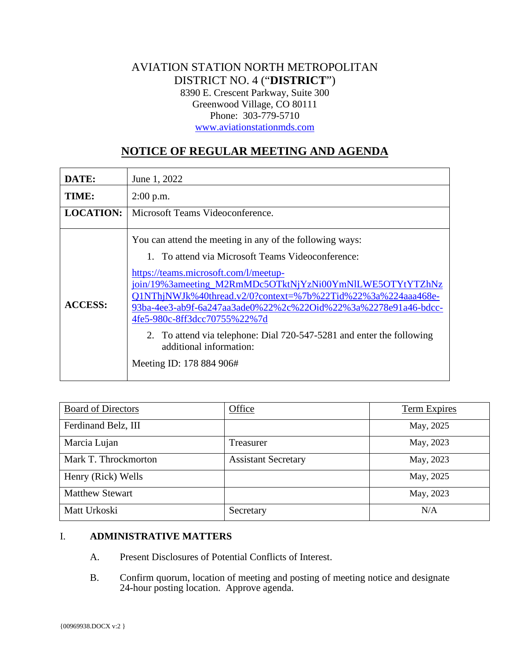## AVIATION STATION NORTH METROPOLITAN DISTRICT NO. 4 ("**DISTRICT**") 8390 E. Crescent Parkway, Suite 300 Greenwood Village, CO 80111 Phone: 303-779-5710 [www.aviationstationmds.com](http://www.aviationstationmds.com/)

# **NOTICE OF REGULAR MEETING AND AGENDA**

| DATE:            | June 1, 2022                                                                                                                                                                                                                                                                                                                                                                                                                                                                                                         |  |
|------------------|----------------------------------------------------------------------------------------------------------------------------------------------------------------------------------------------------------------------------------------------------------------------------------------------------------------------------------------------------------------------------------------------------------------------------------------------------------------------------------------------------------------------|--|
| TIME:            | $2:00$ p.m.                                                                                                                                                                                                                                                                                                                                                                                                                                                                                                          |  |
| <b>LOCATION:</b> | Microsoft Teams Videoconference.                                                                                                                                                                                                                                                                                                                                                                                                                                                                                     |  |
| <b>ACCESS:</b>   | You can attend the meeting in any of the following ways:<br>1. To attend via Microsoft Teams Videoconference:<br>https://teams.microsoft.com/l/meetup-<br>join/19%3ameeting_M2RmMDc5OTktNjYzNi00YmNlLWE5OTYtYTZhNz<br>Q1NThjNWJk%40thread.v2/0?context=%7b%22Tid%22%3a%224aaa468e-<br>93ba-4ee3-ab9f-6a247aa3ade0%22%2c%22Oid%22%3a%2278e91a46-bdcc-<br>4fe5-980c-8ff3dcc70755%22%7d<br>2. To attend via telephone: Dial 720-547-5281 and enter the following<br>additional information:<br>Meeting ID: 178 884 906# |  |

| <b>Board of Directors</b> | Office                     | Term Expires |
|---------------------------|----------------------------|--------------|
| Ferdinand Belz, III       |                            | May, 2025    |
| Marcia Lujan              | Treasurer                  | May, 2023    |
| Mark T. Throckmorton      | <b>Assistant Secretary</b> | May, 2023    |
| Henry (Rick) Wells        |                            | May, 2025    |
| <b>Matthew Stewart</b>    |                            | May, 2023    |
| Matt Urkoski              | Secretary                  | N/A          |

## I. **ADMINISTRATIVE MATTERS**

- A. Present Disclosures of Potential Conflicts of Interest.
- B. Confirm quorum, location of meeting and posting of meeting notice and designate 24-hour posting location. Approve agenda.